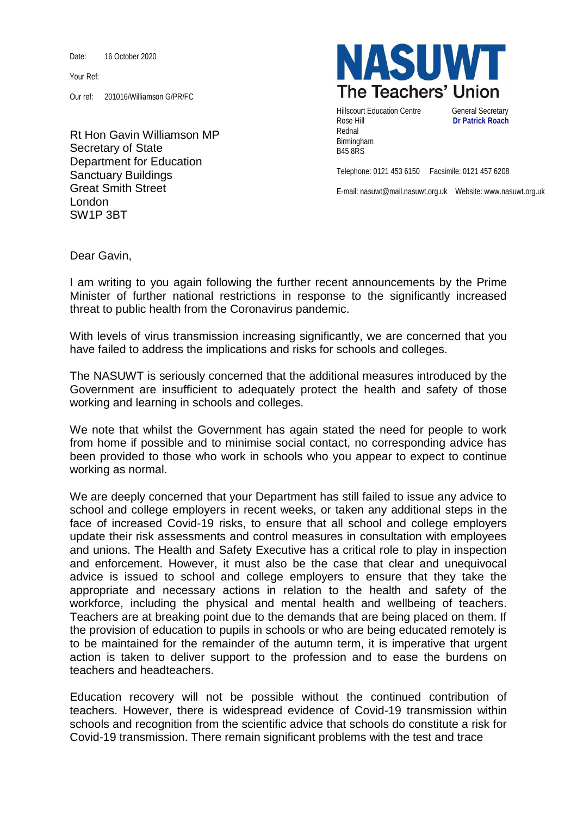Date: 16 October 2020

Your Ref:

Our ref: 201016/Williamson G/PR/FC

Rt Hon Gavin Williamson MP Secretary of State Department for Education Sanctuary Buildings Great Smith Street London SW1P 3BT



Hillscourt Education Centre **General Secretary** Rose Hill **Dr Patrick Roach** Rednal Birmingham B45 8RS

Telephone: 0121 453 6150 Facsimile: 0121 457 6208

E-mail: nasuwt@mail.nasuwt.org.uk Website: www.nasuwt.org.uk

Dear Gavin,

I am writing to you again following the further recent announcements by the Prime Minister of further national restrictions in response to the significantly increased threat to public health from the Coronavirus pandemic.

With levels of virus transmission increasing significantly, we are concerned that you have failed to address the implications and risks for schools and colleges.

The NASUWT is seriously concerned that the additional measures introduced by the Government are insufficient to adequately protect the health and safety of those working and learning in schools and colleges.

We note that whilst the Government has again stated the need for people to work from home if possible and to minimise social contact, no corresponding advice has been provided to those who work in schools who you appear to expect to continue working as normal.

We are deeply concerned that your Department has still failed to issue any advice to school and college employers in recent weeks, or taken any additional steps in the face of increased Covid-19 risks, to ensure that all school and college employers update their risk assessments and control measures in consultation with employees and unions. The Health and Safety Executive has a critical role to play in inspection and enforcement. However, it must also be the case that clear and unequivocal advice is issued to school and college employers to ensure that they take the appropriate and necessary actions in relation to the health and safety of the workforce, including the physical and mental health and wellbeing of teachers. Teachers are at breaking point due to the demands that are being placed on them. If the provision of education to pupils in schools or who are being educated remotely is to be maintained for the remainder of the autumn term, it is imperative that urgent action is taken to deliver support to the profession and to ease the burdens on teachers and headteachers.

Education recovery will not be possible without the continued contribution of teachers. However, there is widespread evidence of Covid-19 transmission within schools and recognition from the scientific advice that schools do constitute a risk for Covid-19 transmission. There remain significant problems with the test and trace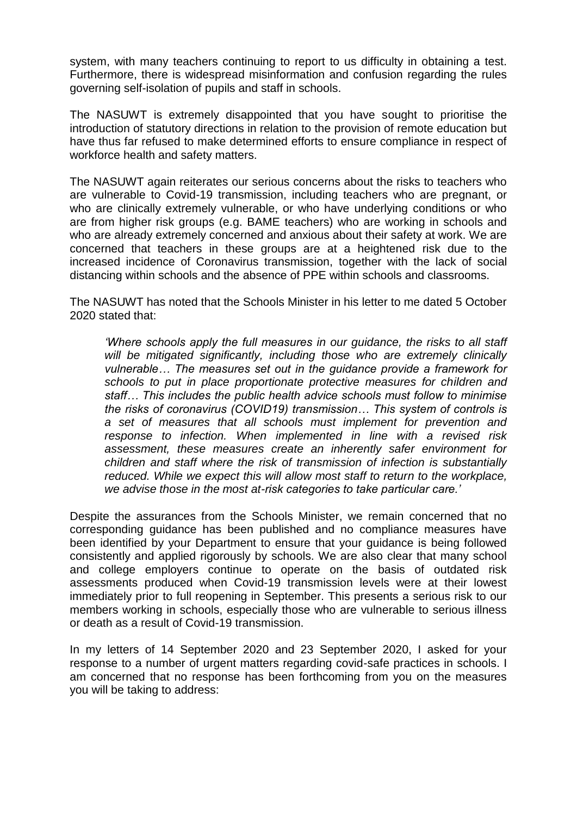system, with many teachers continuing to report to us difficulty in obtaining a test. Furthermore, there is widespread misinformation and confusion regarding the rules governing self-isolation of pupils and staff in schools.

The NASUWT is extremely disappointed that you have sought to prioritise the introduction of statutory directions in relation to the provision of remote education but have thus far refused to make determined efforts to ensure compliance in respect of workforce health and safety matters.

The NASUWT again reiterates our serious concerns about the risks to teachers who are vulnerable to Covid-19 transmission, including teachers who are pregnant, or who are clinically extremely vulnerable, or who have underlying conditions or who are from higher risk groups (e.g. BAME teachers) who are working in schools and who are already extremely concerned and anxious about their safety at work. We are concerned that teachers in these groups are at a heightened risk due to the increased incidence of Coronavirus transmission, together with the lack of social distancing within schools and the absence of PPE within schools and classrooms.

The NASUWT has noted that the Schools Minister in his letter to me dated 5 October 2020 stated that:

*'Where schools apply the full measures in our guidance, the risks to all staff will be mitigated significantly, including those who are extremely clinically vulnerable… The measures set out in the guidance provide a framework for schools to put in place proportionate protective measures for children and staff… This includes the public health advice schools must follow to minimise the risks of coronavirus (COVID19) transmission… This system of controls is a set of measures that all schools must implement for prevention and response to infection. When implemented in line with a revised risk assessment, these measures create an inherently safer environment for children and staff where the risk of transmission of infection is substantially*  reduced. While we expect this will allow most staff to return to the workplace, *we advise those in the most at-risk categories to take particular care.'*

Despite the assurances from the Schools Minister, we remain concerned that no corresponding guidance has been published and no compliance measures have been identified by your Department to ensure that your guidance is being followed consistently and applied rigorously by schools. We are also clear that many school and college employers continue to operate on the basis of outdated risk assessments produced when Covid-19 transmission levels were at their lowest immediately prior to full reopening in September. This presents a serious risk to our members working in schools, especially those who are vulnerable to serious illness or death as a result of Covid-19 transmission.

In my letters of 14 September 2020 and 23 September 2020, I asked for your response to a number of urgent matters regarding covid-safe practices in schools. I am concerned that no response has been forthcoming from you on the measures you will be taking to address: